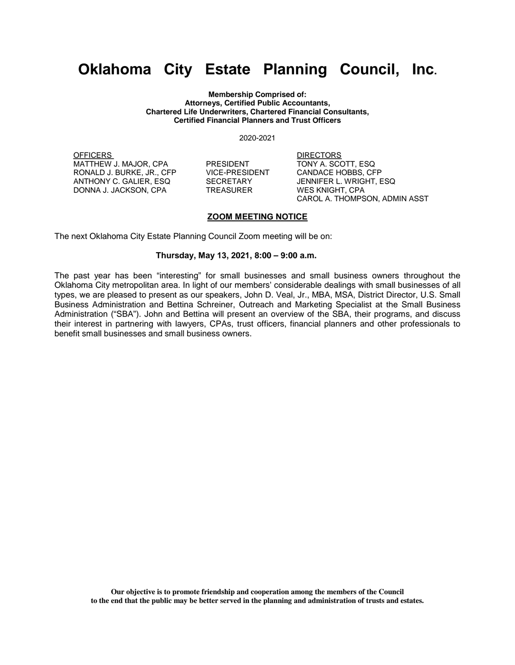## **Oklahoma City Estate Planning Council, Inc.**

**Membership Comprised of: Attorneys, Certified Public Accountants, Chartered Life Underwriters, Chartered Financial Consultants, Certified Financial Planners and Trust Officers**

2020-2021

OFFICERS DIRECTORS MATTHEW J. MAJOR, CPA PRESIDENT TONY A. SCOTT, ESQ RONALD J. BURKE, JR., CFP VICE-PRESIDENT ANTHONY C. GALIER, ESQ SECRETARY JENNIFER L. WRIGHT, ESQ DONNA J. JACKSON, CPA TREASURER WES KNIGHT, CPA

CAROL A. THOMPSON, ADMIN ASST

## **ZOOM MEETING NOTICE**

The next Oklahoma City Estate Planning Council Zoom meeting will be on:

## **Thursday, May 13, 2021, 8:00 – 9:00 a.m.**

The past year has been "interesting" for small businesses and small business owners throughout the Oklahoma City metropolitan area. In light of our members' considerable dealings with small businesses of all types, we are pleased to present as our speakers, John D. Veal, Jr., MBA, MSA, District Director, U.S. Small Business Administration and Bettina Schreiner, Outreach and Marketing Specialist at the Small Business Administration ("SBA"). John and Bettina will present an overview of the SBA, their programs, and discuss their interest in partnering with lawyers, CPAs, trust officers, financial planners and other professionals to benefit small businesses and small business owners.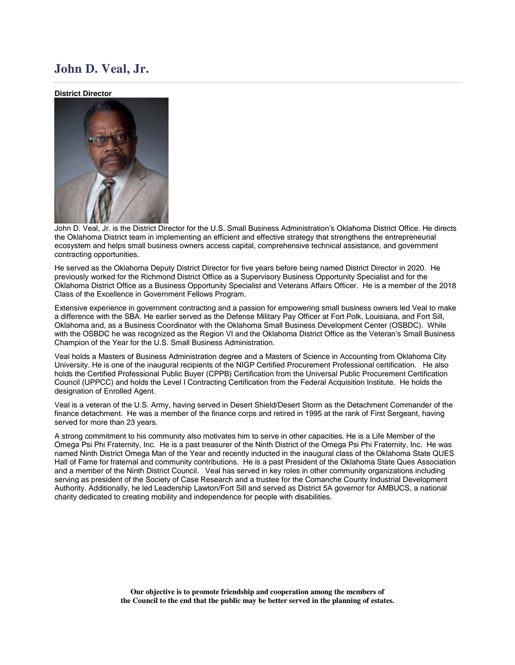## **John D. Veal, Jr.**

**District Director**



John D. Veal, Jr. is the District Director for the U.S. Small Business Administration's Oklahoma District Office. He directs the Oklahoma District team in implementing an efficient and effective strategy that strengthens the entrepreneurial ecosystem and helps small business owners access capital, comprehensive technical assistance, and government contracting opportunities.

He served as the Oklahoma Deputy District Director for five years before being named District Director in 2020. He previously worked for the Richmond District Office as a Supervisory Business Opportunity Specialist and for the Oklahoma District Office as a Business Opportunity Specialist and Veterans Affairs Officer. He is a member of the 2018 Class of the Excellence in Government Fellows Program.

Extensive experience in government contracting and a passion for empowering small business owners led Veal to make a difference with the SBA. He earlier served as the Defense Military Pay Officer at Fort Polk, Louisiana, and Fort Sill, Oklahoma and, as a Business Coordinator with the Oklahoma Small Business Development Center (OSBDC). While with the OSBDC he was recognized as the Region VI and the Oklahoma District Office as the Veteran's Small Business Champion of the Year for the U.S. Small Business Administration.

Veal holds a Masters of Business Administration degree and a Masters of Science in Accounting from Oklahoma City University. He is one of the inaugural recipients of the NIGP Certified Procurement Professional certification. He also holds the Certified Professional Public Buyer (CPPB) Certification from the Universal Public Procurement Certification Council (UPPCC) and holds the Level I Contracting Certification from the Federal Acquisition Institute. He holds the designation of Enrolled Agent.

Veal is a veteran of the U.S. Army, having served in Desert Shield/Desert Storm as the Detachment Commander of the finance detachment. He was a member of the finance corps and retired in 1995 at the rank of First Sergeant, having served for more than 23 years.

A strong commitment to his community also motivates him to serve in other capacities. He is a Life Member of the Omega Psi Phi Fraternity, Inc. He is a past treasurer of the Ninth District of the Omega Psi Phi Fraternity, Inc. He was named Ninth District Omega Man of the Year and recently inducted in the inaugural class of the Oklahoma State QUES Hall of Fame for fraternal and community contributions. He is a past President of the Oklahoma State Ques Association and a member of the Ninth District Council. Veal has served in key roles in other community organizations including serving as president of the Society of Case Research and a trustee for the Comanche County Industrial Development Authority. Additionally, he led Leadership Lawton/Fort Sill and served as District 5A governor for AMBUCS, a national charity dedicated to creating mobility and independence for people with disabilities.